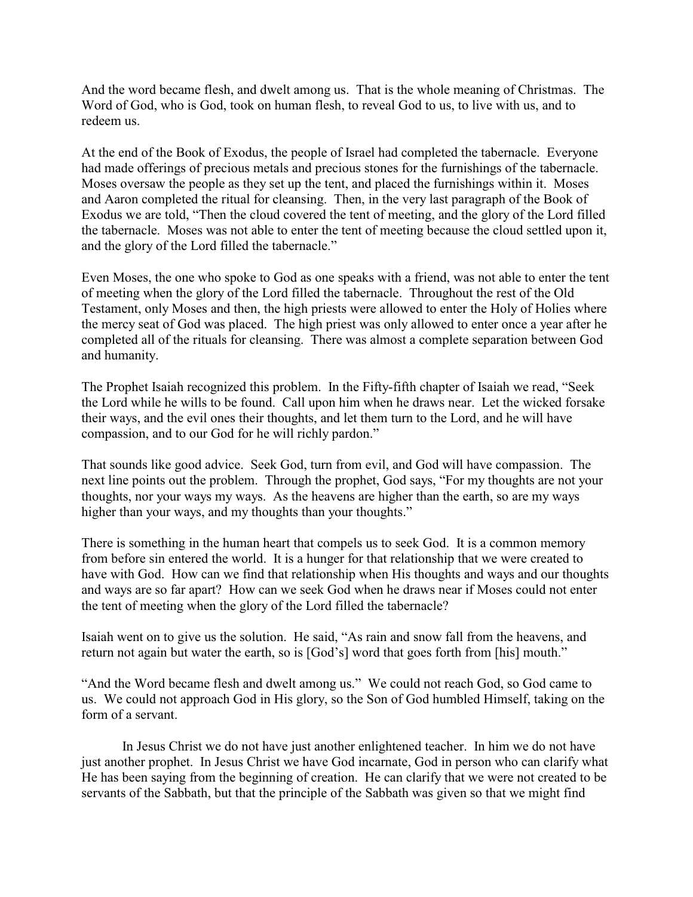And the word became flesh, and dwelt among us. That is the whole meaning of Christmas. The Word of God, who is God, took on human flesh, to reveal God to us, to live with us, and to redeem us.

At the end of the Book of Exodus, the people of Israel had completed the tabernacle. Everyone had made offerings of precious metals and precious stones for the furnishings of the tabernacle. Moses oversaw the people as they set up the tent, and placed the furnishings within it. Moses and Aaron completed the ritual for cleansing. Then, in the very last paragraph of the Book of Exodus we are told, "Then the cloud covered the tent of meeting, and the glory of the Lord filled the tabernacle. Moses was not able to enter the tent of meeting because the cloud settled upon it, and the glory of the Lord filled the tabernacle."

Even Moses, the one who spoke to God as one speaks with a friend, was not able to enter the tent of meeting when the glory of the Lord filled the tabernacle. Throughout the rest of the Old Testament, only Moses and then, the high priests were allowed to enter the Holy of Holies where the mercy seat of God was placed. The high priest was only allowed to enter once a year after he completed all of the rituals for cleansing. There was almost a complete separation between God and humanity.

The Prophet Isaiah recognized this problem. In the Fifty-fifth chapter of Isaiah we read, "Seek the Lord while he wills to be found. Call upon him when he draws near. Let the wicked forsake their ways, and the evil ones their thoughts, and let them turn to the Lord, and he will have compassion, and to our God for he will richly pardon."

That sounds like good advice. Seek God, turn from evil, and God will have compassion. The next line points out the problem. Through the prophet, God says, "For my thoughts are not your thoughts, nor your ways my ways. As the heavens are higher than the earth, so are my ways higher than your ways, and my thoughts than your thoughts."

There is something in the human heart that compels us to seek God. It is a common memory from before sin entered the world. It is a hunger for that relationship that we were created to have with God. How can we find that relationship when His thoughts and ways and our thoughts and ways are so far apart? How can we seek God when he draws near if Moses could not enter the tent of meeting when the glory of the Lord filled the tabernacle?

Isaiah went on to give us the solution. He said, "As rain and snow fall from the heavens, and return not again but water the earth, so is [God's] word that goes forth from [his] mouth."

"And the Word became flesh and dwelt among us." We could not reach God, so God came to us. We could not approach God in His glory, so the Son of God humbled Himself, taking on the form of a servant.

In Jesus Christ we do not have just another enlightened teacher. In him we do not have just another prophet. In Jesus Christ we have God incarnate, God in person who can clarify what He has been saying from the beginning of creation. He can clarify that we were not created to be servants of the Sabbath, but that the principle of the Sabbath was given so that we might find